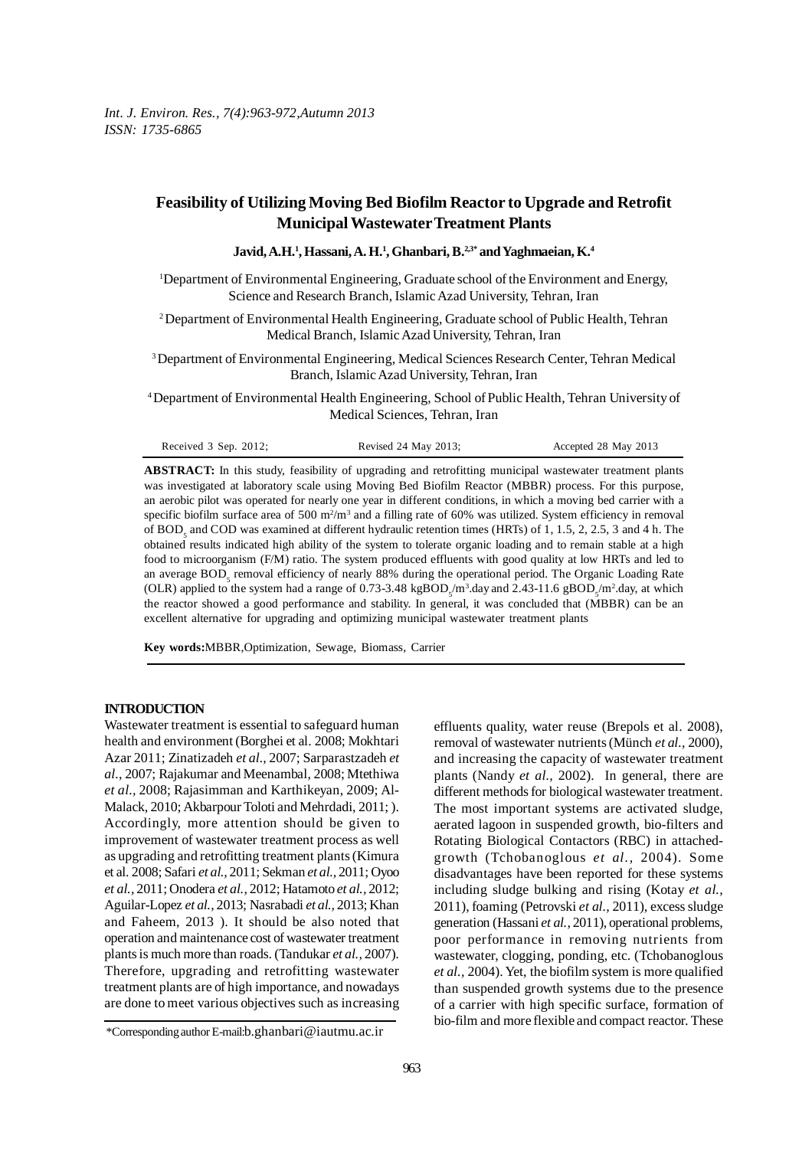# **Feasibility of Utilizing Moving Bed Biofilm Reactor to Upgrade and Retrofit Municipal Wastewater Treatment Plants**

**Javid, A.H.1 , Hassani, A. H.1 , Ghanbari, B.2,3\* and Yaghmaeian, K.4**

1 Department of Environmental Engineering, Graduate school of the Environment and Energy, Science and Research Branch, Islamic Azad University, Tehran, Iran

<sup>2</sup> Department of Environmental Health Engineering, Graduate school of Public Health, Tehran Medical Branch, Islamic Azad University, Tehran, Iran

3 Department of Environmental Engineering, Medical Sciences Research Center, Tehran Medical Branch, Islamic Azad University, Tehran, Iran

4 Department of Environmental Health Engineering, School of Public Health, Tehran University of Medical Sciences, Tehran, Iran

| Received $3$ Sep. 2012; | Revised 24 May 2013; | Accepted 28 May 2013 |
|-------------------------|----------------------|----------------------|
|-------------------------|----------------------|----------------------|

**ABSTRACT:** In this study, feasibility of upgrading and retrofitting municipal wastewater treatment plants was investigated at laboratory scale using Moving Bed Biofilm Reactor (MBBR) process. For this purpose, an aerobic pilot was operated for nearly one year in different conditions, in which a moving bed carrier with a specific biofilm surface area of 500  $\text{m}^2/\text{m}^3$  and a filling rate of 60% was utilized. System efficiency in removal of BOD<sub>5</sub> and COD was examined at different hydraulic retention times (HRTs) of 1, 1.5, 2, 2.5, 3 and 4 h. The obtained results indicated high ability of the system to tolerate organic loading and to remain stable at a high food to microorganism (F/M) ratio. The system produced effluents with good quality at low HRTs and led to an average BOD<sub>5</sub> removal efficiency of nearly 88% during the operational period. The Organic Loading Rate (OLR) applied to the system had a range of 0.73-3.48 kgBOD<sub>5</sub>/m<sup>3</sup>.day and 2.43-11.6 gBOD<sub>5</sub>/m<sup>2</sup>.day, at which the reactor showed a good performance and stability. In general, it was concluded that (MBBR) can be an excellent alternative for upgrading and optimizing municipal wastewater treatment plants

**Key words:**MBBR,Optimization, Sewage, Biomass, Carrier

# **INTRODUCTION**

Wastewater treatment is essential to safeguard human health and environment (Borghei et al. 2008; Mokhtari Azar 2011; Zinatizadeh *et al.,* 2007; Sarparastzadeh *et al.,* 2007; Rajakumar and Meenambal, 2008; Mtethiwa *et al.,* 2008; Rajasimman and Karthikeyan, 2009; Al-Malack, 2010; Akbarpour Toloti and Mehrdadi, 2011; ). Accordingly, more attention should be given to improvement of wastewater treatment process as well as upgrading and retrofitting treatment plants (Kimura et al. 2008; Safari *et al.,* 2011; Sekman *et al.,* 2011; Oyoo *et al.,* 2011; Onodera *et al.,* 2012; Hatamoto *et al.,* 2012; Aguilar-Lopez *et al.,* 2013; Nasrabadi *et al.,* 2013; Khan and Faheem, 2013 ). It should be also noted that operation and maintenance cost of wastewater treatment plants is much more than roads. (Tandukar *et al.,* 2007). Therefore, upgrading and retrofitting wastewater treatment plants are of high importance, and nowadays are done to meet various objectives such as increasing

effluents quality, water reuse (Brepols et al. 2008), removal of wastewater nutrients (Münch *et al.,* 2000), and increasing the capacity of wastewater treatment plants (Nandy *et al.,* 2002). In general, there are different methods for biological wastewater treatment. The most important systems are activated sludge, aerated lagoon in suspended growth, bio-filters and Rotating Biological Contactors (RBC) in attachedgrowth (Tchobanoglous *et al.,* 2004). Some disadvantages have been reported for these systems including sludge bulking and rising (Kotay *et al.,* 2011), foaming (Petrovski *et al.,* 2011), excess sludge generation (Hassani *et al.,* 2011), operational problems, poor performance in removing nutrients from wastewater, clogging, ponding, etc. (Tchobanoglous *et al.,* 2004). Yet, the biofilm system is more qualified than suspended growth systems due to the presence of a carrier with high specific surface, formation of bio-film and more flexible and compact reactor. These

<sup>\*</sup>Corresponding author E-mail:b.ghanbari@iautmu.ac.ir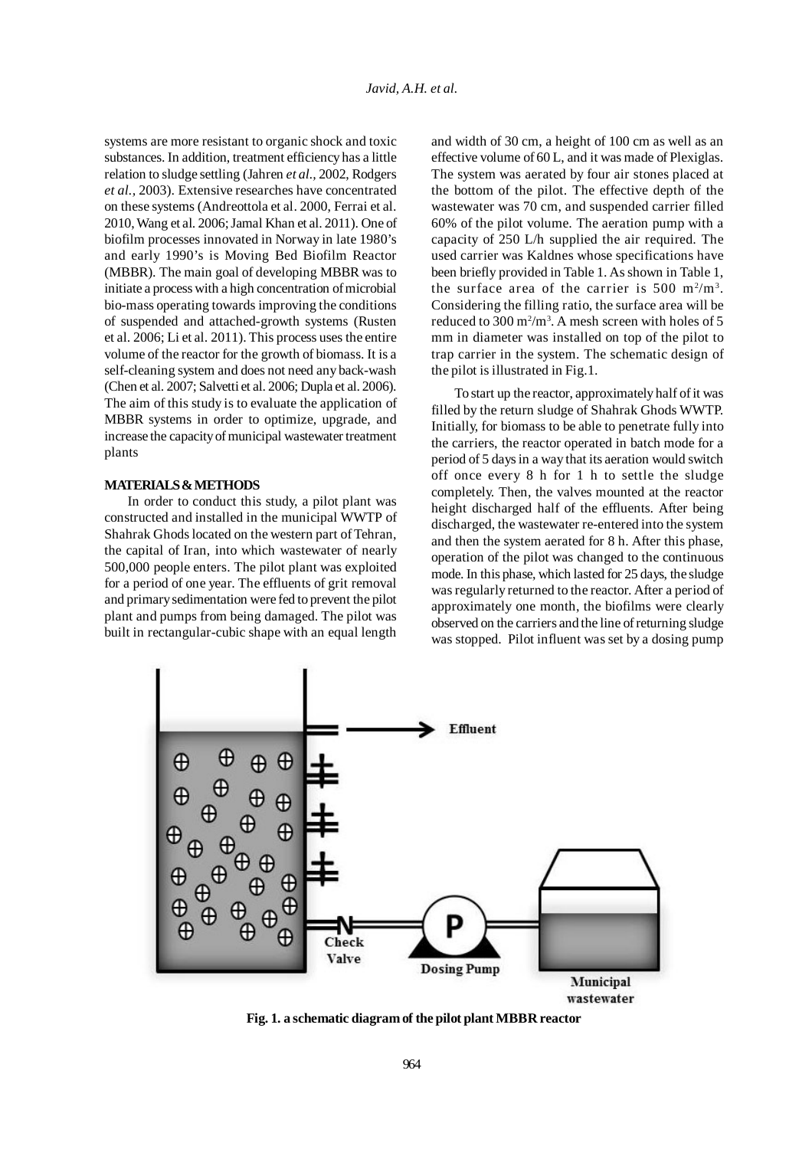systems are more resistant to organic shock and toxic substances. In addition, treatment efficiency has a little relation to sludge settling (Jahren *et al.,* 2002, Rodgers *et al.,* 2003). Extensive researches have concentrated on these systems (Andreottola et al. 2000, Ferrai et al. 2010, Wang et al. 2006; Jamal Khan et al. 2011). One of biofilm processes innovated in Norway in late 1980's and early 1990's is Moving Bed Biofilm Reactor (MBBR). The main goal of developing MBBR was to initiate a process with a high concentration of microbial bio-mass operating towards improving the conditions of suspended and attached-growth systems (Rusten et al. 2006; Li et al. 2011). This process uses the entire volume of the reactor for the growth of biomass. It is a self-cleaning system and does not need any back-wash (Chen et al. 2007; Salvetti et al. 2006; Dupla et al. 2006). The aim of this study is to evaluate the application of MBBR systems in order to optimize, upgrade, and increase the capacity of municipal wastewater treatment plants

#### **MATERIALS & METHODS**

In order to conduct this study, a pilot plant was constructed and installed in the municipal WWTP of Shahrak Ghods located on the western part of Tehran, the capital of Iran, into which wastewater of nearly 500,000 people enters. The pilot plant was exploited for a period of one year. The effluents of grit removal and primary sedimentation were fed to prevent the pilot plant and pumps from being damaged. The pilot was built in rectangular-cubic shape with an equal length

and width of 30 cm, a height of 100 cm as well as an effective volume of 60 L, and it was made of Plexiglas. The system was aerated by four air stones placed at the bottom of the pilot. The effective depth of the wastewater was 70 cm, and suspended carrier filled 60% of the pilot volume. The aeration pump with a capacity of 250 L/h supplied the air required. The used carrier was Kaldnes whose specifications have been briefly provided in Table 1. As shown in Table 1, the surface area of the carrier is  $500 \text{ m}^2/\text{m}^3$ . Considering the filling ratio, the surface area will be reduced to 300  $m^2/m^3$ . A mesh screen with holes of 5 mm in diameter was installed on top of the pilot to trap carrier in the system. The schematic design of the pilot is illustrated in Fig.1.

To start up the reactor, approximately half of it was filled by the return sludge of Shahrak Ghods WWTP. Initially, for biomass to be able to penetrate fully into the carriers, the reactor operated in batch mode for a period of 5 days in a way that its aeration would switch off once every 8 h for 1 h to settle the sludge completely. Then, the valves mounted at the reactor height discharged half of the effluents. After being discharged, the wastewater re-entered into the system and then the system aerated for 8 h. After this phase, operation of the pilot was changed to the continuous mode. In this phase, which lasted for 25 days, the sludge was regularly returned to the reactor. After a period of approximately one month, the biofilms were clearly observed on the carriers and the line of returning sludge was stopped. Pilot influent was set by a dosing pump



**Fig. 1. a schematic diagram of the pilot plant MBBR reactor**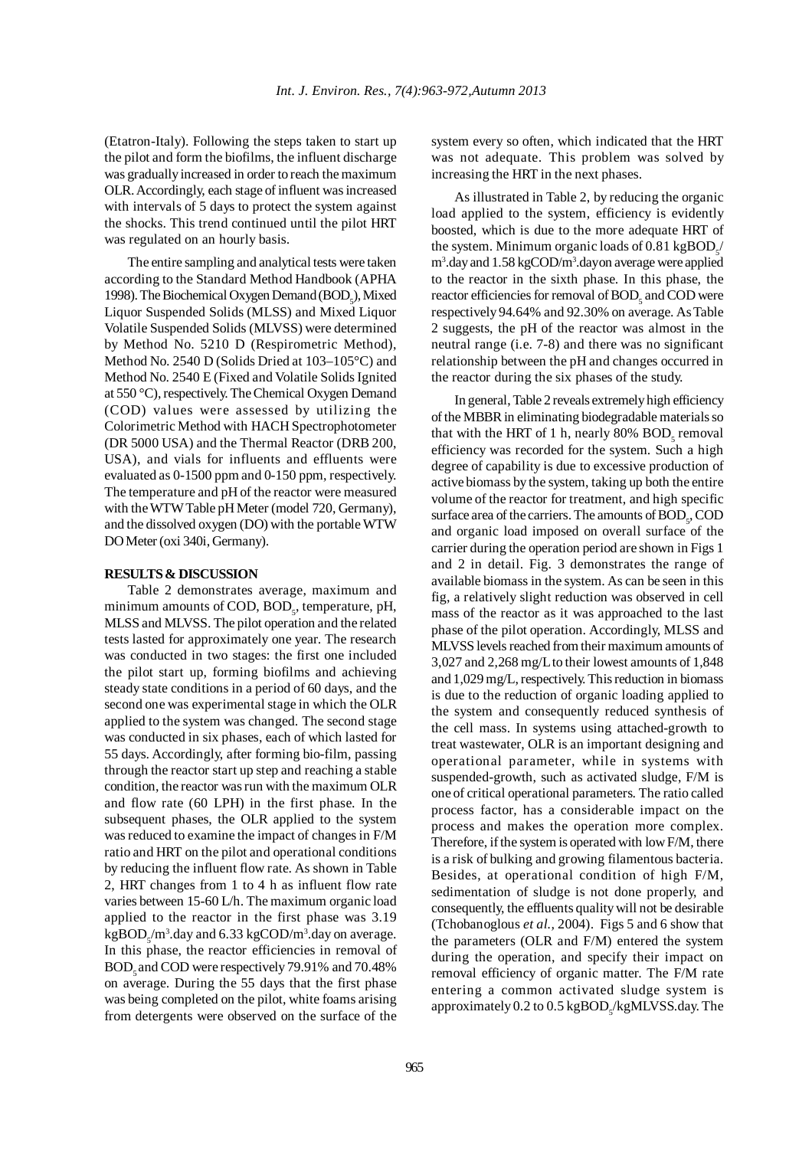(Etatron-Italy). Following the steps taken to start up the pilot and form the biofilms, the influent discharge was gradually increased in order to reach the maximum OLR. Accordingly, each stage of influent was increased with intervals of 5 days to protect the system against the shocks. This trend continued until the pilot HRT was regulated on an hourly basis.

The entire sampling and analytical tests were taken according to the Standard Method Handbook (APHA 1998). The Biochemical Oxygen Demand  $(BOD<sub>5</sub>)$ , Mixed Liquor Suspended Solids (MLSS) and Mixed Liquor Volatile Suspended Solids (MLVSS) were determined by Method No. 5210 D (Respirometric Method), Method No. 2540 D (Solids Dried at 103–105°C) and Method No. 2540 E (Fixed and Volatile Solids Ignited at 550 °C), respectively. The Chemical Oxygen Demand (COD) values were assessed by utilizing the Colorimetric Method with HACH Spectrophotometer (DR 5000 USA) and the Thermal Reactor (DRB 200, USA), and vials for influents and effluents were evaluated as 0-1500 ppm and 0-150 ppm, respectively. The temperature and pH of the reactor were measured with the WTW Table pH Meter (model 720, Germany), and the dissolved oxygen (DO) with the portable WTW DO Meter (oxi 340i, Germany).

## **RESULTS & DISCUSSION**

Table 2 demonstrates average, maximum and minimum amounts of COD, BOD<sub>5</sub>, temperature, pH, MLSS and MLVSS. The pilot operation and the related tests lasted for approximately one year. The research was conducted in two stages: the first one included the pilot start up, forming biofilms and achieving steady state conditions in a period of 60 days, and the second one was experimental stage in which the OLR applied to the system was changed. The second stage was conducted in six phases, each of which lasted for 55 days. Accordingly, after forming bio-film, passing through the reactor start up step and reaching a stable condition, the reactor was run with the maximum OLR and flow rate (60 LPH) in the first phase. In the subsequent phases, the OLR applied to the system was reduced to examine the impact of changes in F/M ratio and HRT on the pilot and operational conditions by reducing the influent flow rate. As shown in Table 2, HRT changes from 1 to 4 h as influent flow rate varies between 15-60 L/h. The maximum organic load applied to the reactor in the first phase was 3.19  $kgBOD<sub>5</sub>/m<sup>3</sup>$ .day and 6.33 kgCOD/m<sup>3</sup>.day on average. In this phase, the reactor efficiencies in removal of BOD<sub>z</sub> and COD were respectively 79.91% and 70.48% on average. During the 55 days that the first phase was being completed on the pilot, white foams arising from detergents were observed on the surface of the system every so often, which indicated that the HRT was not adequate. This problem was solved by increasing the HRT in the next phases.

As illustrated in Table 2, by reducing the organic load applied to the system, efficiency is evidently boosted, which is due to the more adequate HRT of the system. Minimum organic loads of  $0.81 \text{ kgBOD}_s$ / m<sup>3</sup>.day and 1.58 kgCOD/m<sup>3</sup>.dayon average were applied to the reactor in the sixth phase. In this phase, the reactor efficiencies for removal of  $\mathrm{BOD}_5$  and  $\mathrm{COD}$  were respectively 94.64% and 92.30% on average. As Table 2 suggests, the pH of the reactor was almost in the neutral range (i.e. 7-8) and there was no significant relationship between the pH and changes occurred in the reactor during the six phases of the study.

In general, Table 2 reveals extremely high efficiency of the MBBR in eliminating biodegradable materials so that with the HRT of 1 h, nearly 80%  $BOD<sub>5</sub>$  removal efficiency was recorded for the system. Such a high degree of capability is due to excessive production of active biomass by the system, taking up both the entire volume of the reactor for treatment, and high specific surface area of the carriers. The amounts of  $\text{BOD}_5$ , COD and organic load imposed on overall surface of the carrier during the operation period are shown in Figs 1 and 2 in detail. Fig. 3 demonstrates the range of available biomass in the system. As can be seen in this fig, a relatively slight reduction was observed in cell mass of the reactor as it was approached to the last phase of the pilot operation. Accordingly, MLSS and MLVSS levels reached from their maximum amounts of 3,027 and 2,268 mg/Lto their lowest amounts of 1,848 and 1,029 mg/L, respectively. This reduction in biomass is due to the reduction of organic loading applied to the system and consequently reduced synthesis of the cell mass. In systems using attached-growth to treat wastewater, OLR is an important designing and operational parameter, while in systems with suspended-growth, such as activated sludge, F/M is one of critical operational parameters. The ratio called process factor, has a considerable impact on the process and makes the operation more complex. Therefore, if the system is operated with low F/M, there is a risk of bulking and growing filamentous bacteria. Besides, at operational condition of high F/M, sedimentation of sludge is not done properly, and consequently, the effluents quality will not be desirable (Tchobanoglous *et al.,* 2004). Figs 5 and 6 show that the parameters (OLR and F/M) entered the system during the operation, and specify their impact on removal efficiency of organic matter. The F/M rate entering a common activated sludge system is approximately  $0.2$  to  $0.5$  kgBOD<sub>5</sub>/kgMLVSS.day. The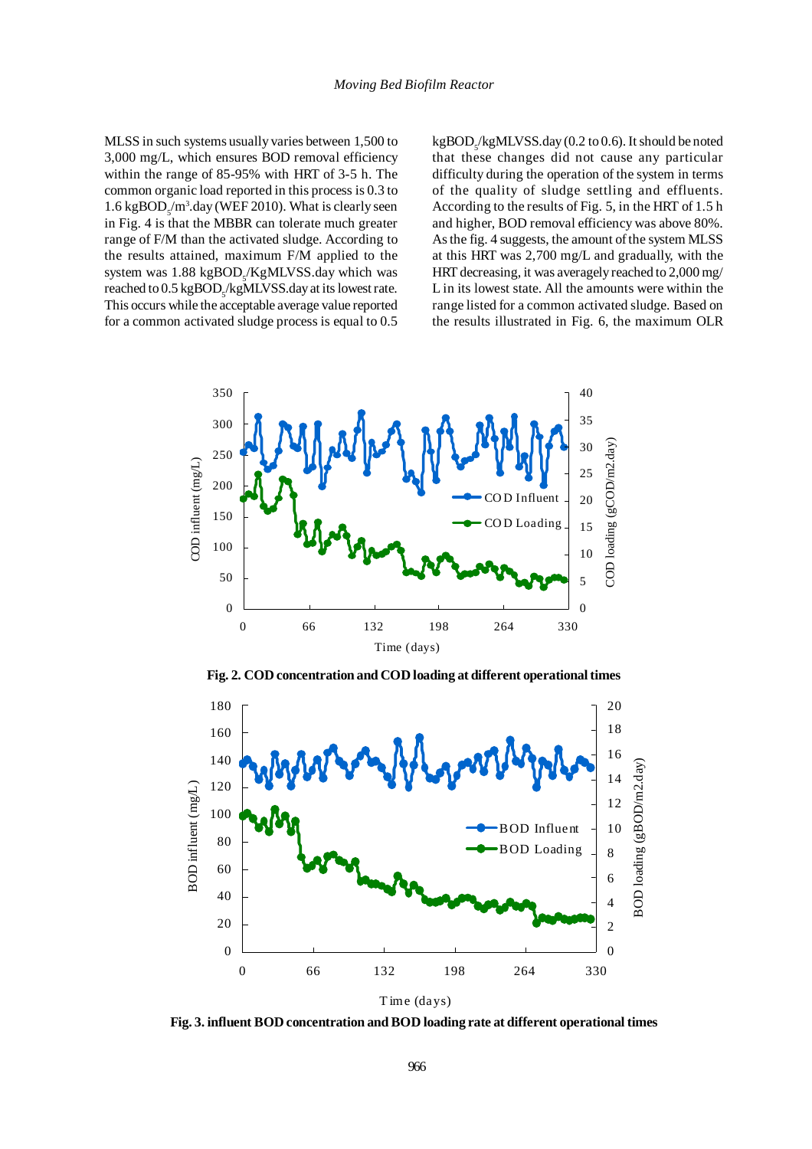MLSS in such systems usually varies between 1,500 to 3,000 mg/L, which ensures BOD removal efficiency within the range of 85-95% with HRT of 3-5 h. The common organic load reported in this process is 0.3 to  $1.6 \text{ kgBOD}_s/m^3$ .day (WEF 2010). What is clearly seen in Fig. 4 is that the MBBR can tolerate much greater range of F/M than the activated sludge. According to the results attained, maximum F/M applied to the system was 1.88 kgBOD<sub>5</sub>/KgMLVSS.day which was reached to  $0.5 \text{ kgBOD}_\text{s}/\text{kgMLVSS}$ .day at its lowest rate. This occurs while the acceptable average value reported for a common activated sludge process is equal to 0.5

kgBOD<sub>5</sub>/kgMLVSS.day (0.2 to 0.6). It should be noted that these changes did not cause any particular difficulty during the operation of the system in terms of the quality of sludge settling and effluents. According to the results of Fig. 5, in the HRT of 1.5 h and higher, BOD removal efficiency was above 80%. As the fig. 4 suggests, the amount of the system MLSS at this HRT was 2,700 mg/L and gradually, with the HRT decreasing, it was averagely reached to 2,000 mg/ L in its lowest state. All the amounts were within the range listed for a common activated sludge. Based on the results illustrated in Fig. 6, the maximum OLR



**Fig. 2. COD concentration and COD loading at different operational times**



**Fig. 3. influent BOD concentration and BOD loading rate at different operational times**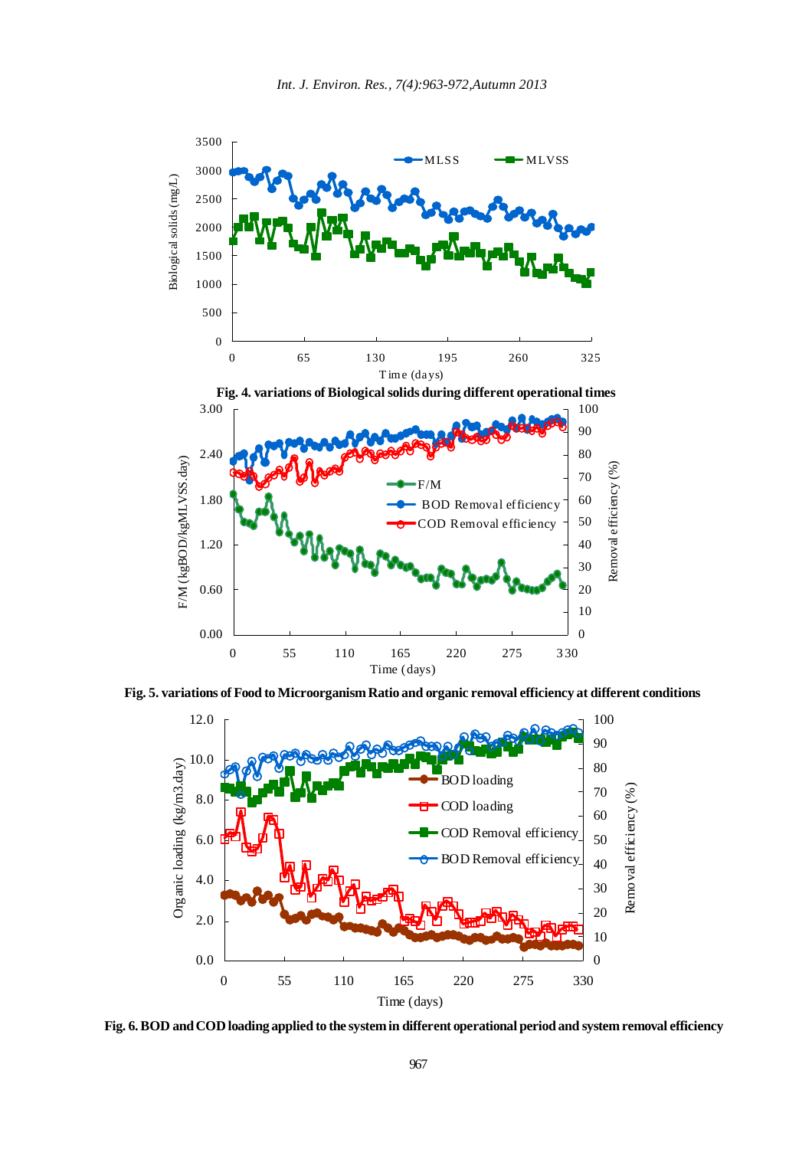

**Fig. 5. variations of Food to Microorganism Ratio and organic removal efficiency at different conditions**



**Fig. 6. BOD and COD loading applied to the system in different operational period and system removal efficiency**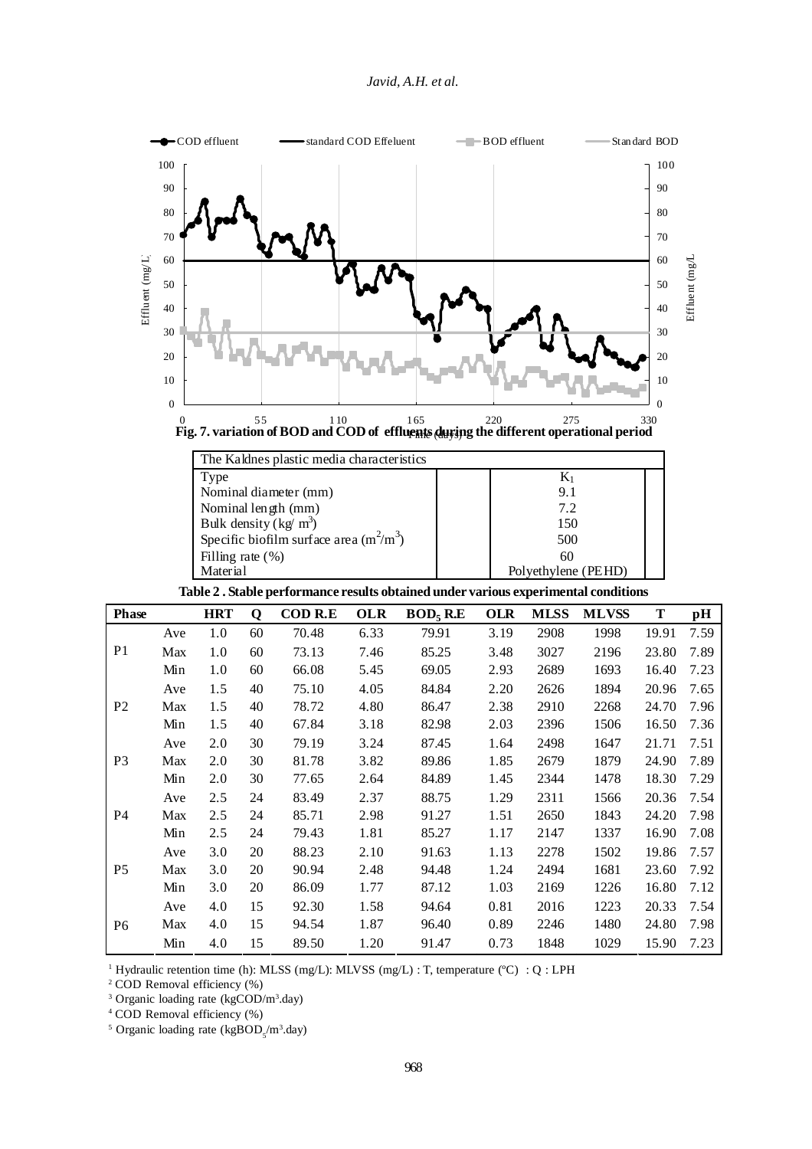

| The Kaldnes plastic media characteristics |                     |  |  |  |  |  |  |
|-------------------------------------------|---------------------|--|--|--|--|--|--|
| Type                                      | $\mathrm{K}_1$      |  |  |  |  |  |  |
| Nominal diameter (mm)                     | 9.1                 |  |  |  |  |  |  |
| Nominal length (mm)                       | 7.2                 |  |  |  |  |  |  |
| Bulk density $(kg/m^3)$                   | 150                 |  |  |  |  |  |  |
| Specific biofilm surface area $(m^2/m^3)$ | 500                 |  |  |  |  |  |  |
| Filling rate $(\%)$                       | 60                  |  |  |  |  |  |  |
| Material                                  | Polyethylene (PEHD) |  |  |  |  |  |  |

**Table 2 . Stable performance results obtained under various experimental conditions**

| <b>Phase</b>   |     | <b>HRT</b> | Q  | <b>COD R.E</b> | <b>OLR</b> | BOD <sub>5</sub> R.E | <b>OLR</b> | <b>MLSS</b> | <b>MLVSS</b> | T     | pН   |
|----------------|-----|------------|----|----------------|------------|----------------------|------------|-------------|--------------|-------|------|
| P <sub>1</sub> | Ave | 1.0        | 60 | 70.48          | 6.33       | 79.91                | 3.19       | 2908        | 1998         | 19.91 | 7.59 |
|                | Max | 1.0        | 60 | 73.13          | 7.46       | 85.25                | 3.48       | 3027        | 2196         | 23.80 | 7.89 |
|                | Min | 1.0        | 60 | 66.08          | 5.45       | 69.05                | 2.93       | 2689        | 1693         | 16.40 | 7.23 |
| P <sub>2</sub> | Ave | 1.5        | 40 | 75.10          | 4.05       | 84.84                | 2.20       | 2626        | 1894         | 20.96 | 7.65 |
|                | Max | 1.5        | 40 | 78.72          | 4.80       | 86.47                | 2.38       | 2910        | 2268         | 24.70 | 7.96 |
|                | Min | 1.5        | 40 | 67.84          | 3.18       | 82.98                | 2.03       | 2396        | 1506         | 16.50 | 7.36 |
| P <sub>3</sub> | Ave | 2.0        | 30 | 79.19          | 3.24       | 87.45                | 1.64       | 2498        | 1647         | 21.71 | 7.51 |
|                | Max | 2.0        | 30 | 81.78          | 3.82       | 89.86                | 1.85       | 2679        | 1879         | 24.90 | 7.89 |
|                | Min | 2.0        | 30 | 77.65          | 2.64       | 84.89                | 1.45       | 2344        | 1478         | 18.30 | 7.29 |
| P <sub>4</sub> | Ave | 2.5        | 24 | 83.49          | 2.37       | 88.75                | 1.29       | 2311        | 1566         | 20.36 | 7.54 |
|                | Max | 2.5        | 24 | 85.71          | 2.98       | 91.27                | 1.51       | 2650        | 1843         | 24.20 | 7.98 |
|                | Min | 2.5        | 24 | 79.43          | 1.81       | 85.27                | 1.17       | 2147        | 1337         | 16.90 | 7.08 |
| P <sub>5</sub> | Ave | 3.0        | 20 | 88.23          | 2.10       | 91.63                | 1.13       | 2278        | 1502         | 19.86 | 7.57 |
|                | Max | 3.0        | 20 | 90.94          | 2.48       | 94.48                | 1.24       | 2494        | 1681         | 23.60 | 7.92 |
|                | Min | 3.0        | 20 | 86.09          | 1.77       | 87.12                | 1.03       | 2169        | 1226         | 16.80 | 7.12 |
| P <sub>6</sub> | Ave | 4.0        | 15 | 92.30          | 1.58       | 94.64                | 0.81       | 2016        | 1223         | 20.33 | 7.54 |
|                | Max | 4.0        | 15 | 94.54          | 1.87       | 96.40                | 0.89       | 2246        | 1480         | 24.80 | 7.98 |
|                | Min | 4.0        | 15 | 89.50          | 1.20       | 91.47                | 0.73       | 1848        | 1029         | 15.90 | 7.23 |

<sup>1</sup> Hydraulic retention time (h): MLSS (mg/L): MLVSS (mg/L) : T, temperature (°C) : Q : LPH

<sup>2</sup> COD Removal efficiency (%)

<sup>3</sup> Organic loading rate (kgCOD/m<sup>3</sup>.day)

<sup>4</sup> COD Removal efficiency (%)

<sup>5</sup> Organic loading rate (kgBOD<sub>5</sub>/m<sup>3</sup>.day)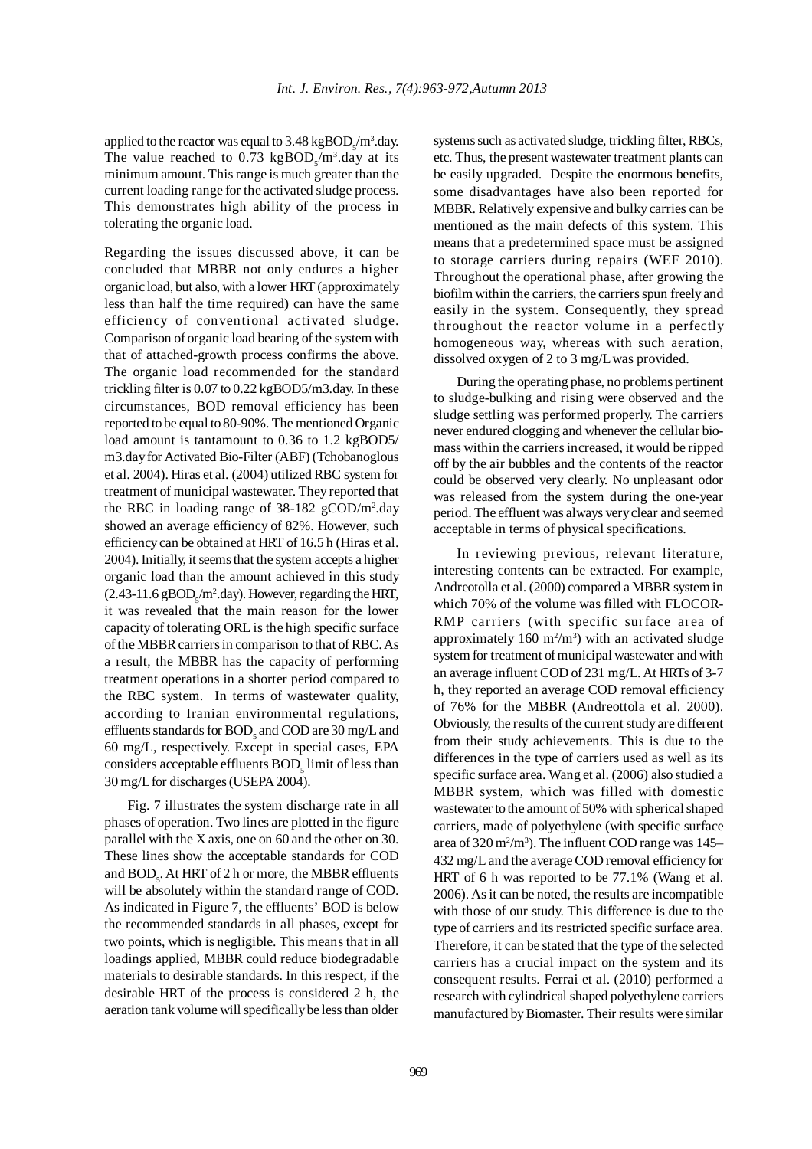applied to the reactor was equal to 3.48 kg $\text{BOD}_\text{s}/\text{m}^3$ .day. The value reached to 0.73  $\text{kgBOD}_{5}/\text{m}^{3}$ .day at its minimum amount. This range is much greater than the current loading range for the activated sludge process. This demonstrates high ability of the process in tolerating the organic load.

Regarding the issues discussed above, it can be concluded that MBBR not only endures a higher organic load, but also, with a lower HRT (approximately less than half the time required) can have the same efficiency of conventional activated sludge. Comparison of organic load bearing of the system with that of attached-growth process confirms the above. The organic load recommended for the standard trickling filter is 0.07 to 0.22 kgBOD5/m3.day. In these circumstances, BOD removal efficiency has been reported to be equal to 80-90%. The mentioned Organic load amount is tantamount to 0.36 to 1.2 kgBOD5/ m3.day for Activated Bio-Filter (ABF) (Tchobanoglous et al. 2004). Hiras et al. (2004) utilized RBC system for treatment of municipal wastewater. They reported that the RBC in loading range of 38-182 gCOD/m2 .day showed an average efficiency of 82%. However, such efficiency can be obtained at HRT of 16.5 h (Hiras et al. 2004). Initially, it seems that the system accepts a higher organic load than the amount achieved in this study  $(2.43-11.6 \text{ gBOD}_s/m^2 \text{.day})$ . However, regarding the HRT, it was revealed that the main reason for the lower capacity of tolerating ORL is the high specific surface of the MBBR carriers in comparison to that of RBC. As a result, the MBBR has the capacity of performing treatment operations in a shorter period compared to the RBC system. In terms of wastewater quality, according to Iranian environmental regulations, effluents standards for  $\text{BOD}_5$  and  $\text{COD}$  are 30 mg/L and 60 mg/L, respectively. Except in special cases, EPA considers acceptable effluents  $\mathrm{BOD}_5$  limit of less than 30 mg/L for discharges (USEPA 2004).

Fig. 7 illustrates the system discharge rate in all phases of operation. Two lines are plotted in the figure parallel with the X axis, one on 60 and the other on 30. These lines show the acceptable standards for COD and  $\mathrm{BOD}_5$ . At HRT of 2 h or more, the MBBR effluents will be absolutely within the standard range of COD. As indicated in Figure 7, the effluents' BOD is below the recommended standards in all phases, except for two points, which is negligible. This means that in all loadings applied, MBBR could reduce biodegradable materials to desirable standards. In this respect, if the desirable HRT of the process is considered 2 h, the aeration tank volume will specifically be less than older systems such as activated sludge, trickling filter, RBCs, etc. Thus, the present wastewater treatment plants can be easily upgraded. Despite the enormous benefits, some disadvantages have also been reported for MBBR. Relatively expensive and bulky carries can be mentioned as the main defects of this system. This means that a predetermined space must be assigned to storage carriers during repairs (WEF 2010). Throughout the operational phase, after growing the biofilm within the carriers, the carriers spun freely and easily in the system. Consequently, they spread throughout the reactor volume in a perfectly homogeneous way, whereas with such aeration, dissolved oxygen of 2 to 3 mg/Lwas provided.

During the operating phase, no problems pertinent to sludge-bulking and rising were observed and the sludge settling was performed properly. The carriers never endured clogging and whenever the cellular biomass within the carriers increased, it would be ripped off by the air bubbles and the contents of the reactor could be observed very clearly. No unpleasant odor was released from the system during the one-year period. The effluent was always very clear and seemed acceptable in terms of physical specifications.

In reviewing previous, relevant literature, interesting contents can be extracted. For example, Andreotolla et al. (2000) compared a MBBR system in which 70% of the volume was filled with FLOCOR-RMP carriers (with specific surface area of approximately  $160 \text{ m}^2/\text{m}^3$ ) with an activated sludge system for treatment of municipal wastewater and with an average influent COD of 231 mg/L. At HRTs of 3-7 h, they reported an average COD removal efficiency of 76% for the MBBR (Andreottola et al. 2000). Obviously, the results of the current study are different from their study achievements. This is due to the differences in the type of carriers used as well as its specific surface area. Wang et al. (2006) also studied a MBBR system, which was filled with domestic wastewater to the amount of 50% with spherical shaped carriers, made of polyethylene (with specific surface area of  $320 \,\mathrm{m^2/m^3}$ ). The influent COD range was  $145-$ 432 mg/L and the average COD removal efficiency for HRT of 6 h was reported to be 77.1% (Wang et al. 2006). As it can be noted, the results are incompatible with those of our study. This difference is due to the type of carriers and its restricted specific surface area. Therefore, it can be stated that the type of the selected carriers has a crucial impact on the system and its consequent results. Ferrai et al. (2010) performed a research with cylindrical shaped polyethylene carriers manufactured by Biomaster. Their results were similar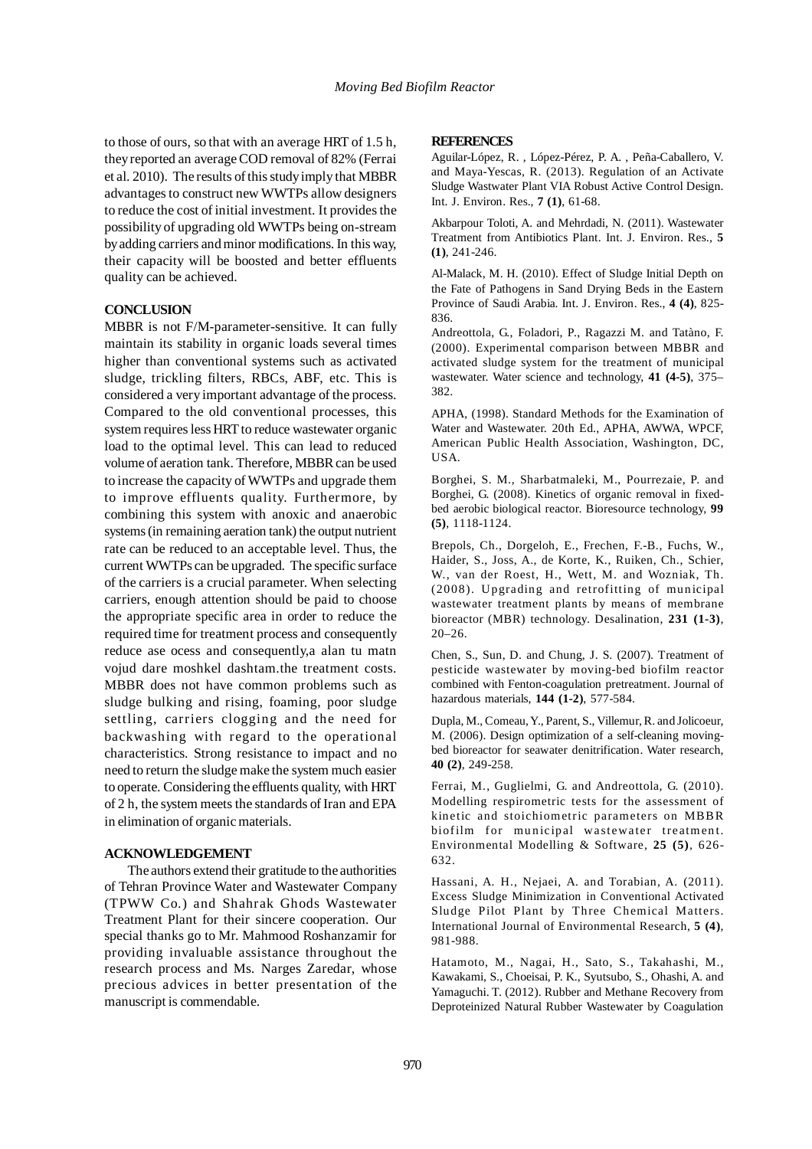to those of ours, so that with an average HRT of 1.5 h, they reported an average COD removal of 82% (Ferrai et al. 2010). The results of this study imply that MBBR advantages to construct new WWTPs allow designers to reduce the cost of initial investment. It provides the possibility of upgrading old WWTPs being on-stream by adding carriers and minor modifications. In this way, their capacity will be boosted and better effluents quality can be achieved.

### **CONCLUSION**

MBBR is not F/M-parameter-sensitive. It can fully maintain its stability in organic loads several times higher than conventional systems such as activated sludge, trickling filters, RBCs, ABF, etc. This is considered a very important advantage of the process. Compared to the old conventional processes, this system requires less HRT to reduce wastewater organic load to the optimal level. This can lead to reduced volume of aeration tank. Therefore, MBBR can be used to increase the capacity of WWTPs and upgrade them to improve effluents quality. Furthermore, by combining this system with anoxic and anaerobic systems (in remaining aeration tank) the output nutrient rate can be reduced to an acceptable level. Thus, the current WWTPs can be upgraded. The specific surface of the carriers is a crucial parameter. When selecting carriers, enough attention should be paid to choose the appropriate specific area in order to reduce the required time for treatment process and consequently reduce ase ocess and consequently,a alan tu matn vojud dare moshkel dashtam.the treatment costs. MBBR does not have common problems such as sludge bulking and rising, foaming, poor sludge settling, carriers clogging and the need for backwashing with regard to the operational characteristics. Strong resistance to impact and no need to return the sludge make the system much easier to operate. Considering the effluents quality, with HRT of 2 h, the system meets the standards of Iran and EPA in elimination of organic materials.

### **ACKNOWLEDGEMENT**

The authors extend their gratitude to the authorities of Tehran Province Water and Wastewater Company (TPWW Co.) and Shahrak Ghods Wastewater Treatment Plant for their sincere cooperation. Our special thanks go to Mr. Mahmood Roshanzamir for providing invaluable assistance throughout the research process and Ms. Narges Zaredar, whose precious advices in better presentation of the manuscript is commendable.

#### **REFERENCES**

Aguilar-López, R. , López-Pérez, P. A. , Peña-Caballero, V. and Maya-Yescas, R. (2013). Regulation of an Activate Sludge Wastwater Plant VIA Robust Active Control Design. Int. J. Environ. Res., **7 (1)**, 61-68.

Akbarpour Toloti, A. and Mehrdadi, N. (2011). Wastewater Treatment from Antibiotics Plant. Int. J. Environ. Res., **5 (1)**, 241-246.

Al-Malack, M. H. (2010). Effect of Sludge Initial Depth on the Fate of Pathogens in Sand Drying Beds in the Eastern Province of Saudi Arabia. Int. J. Environ. Res., **4 (4)**, 825- 836.

Andreottola, G., Foladori, P., Ragazzi M. and Tatàno, F. (2000). Experimental comparison between MBBR and activated sludge system for the treatment of municipal wastewater. Water science and technology, **41 (4-5)**, 375– 382.

APHA, (1998). Standard Methods for the Examination of Water and Wastewater. 20th Ed., APHA, AWWA, WPCF, American Public Health Association, Washington, DC, USA.

Borghei, S. M., Sharbatmaleki, M., Pourrezaie, P. and Borghei, G. (2008). Kinetics of organic removal in fixedbed aerobic biological reactor. Bioresource technology, **99 (5)**, 1118-1124.

Brepols, Ch., Dorgeloh, E., Frechen, F.-B., Fuchs, W., Haider, S., Joss, A., de Korte, K., Ruiken, Ch., Schier, W., van der Roest, H., Wett, M. and Wozniak, Th. (2008). Upgrading and retrofitting of municipal wastewater treatment plants by means of membrane bioreactor (MBR) technology. Desalination, **231 (1-3)**, 20–26.

Chen, S., Sun, D. and Chung, J. S. (2007). Treatment of pesticide wastewater by moving-bed biofilm reactor combined with Fenton-coagulation pretreatment. Journal of hazardous materials, **144 (1-2)**, 577-584.

Dupla, M., Comeau, Y., Parent, S., Villemur, R. and Jolicoeur, M. (2006). Design optimization of a self-cleaning movingbed bioreactor for seawater denitrification. Water research, **40 (2)**, 249-258.

Ferrai, M., Guglielmi, G. and Andreottola, G. (2010). Modelling respirometric tests for the assessment of kinetic and stoichiometric parameters on MBBR biofilm for municipal wastewater treatment. Environmental Modelling & Software, **25 (5)**, 626- 632.

Hassani, A. H., Nejaei, A. and Torabian, A. (2011). Excess Sludge Minimization in Conventional Activated Sludge Pilot Plant by Three Chemical Matters. International Journal of Environmental Research, **5 (4)**, 981-988.

Hatamoto, M., Nagai, H., Sato, S., Takahashi, M., Kawakami, S., Choeisai, P. K., Syutsubo, S., Ohashi, A. and Yamaguchi. T. (2012). Rubber and Methane Recovery from Deproteinized Natural Rubber Wastewater by Coagulation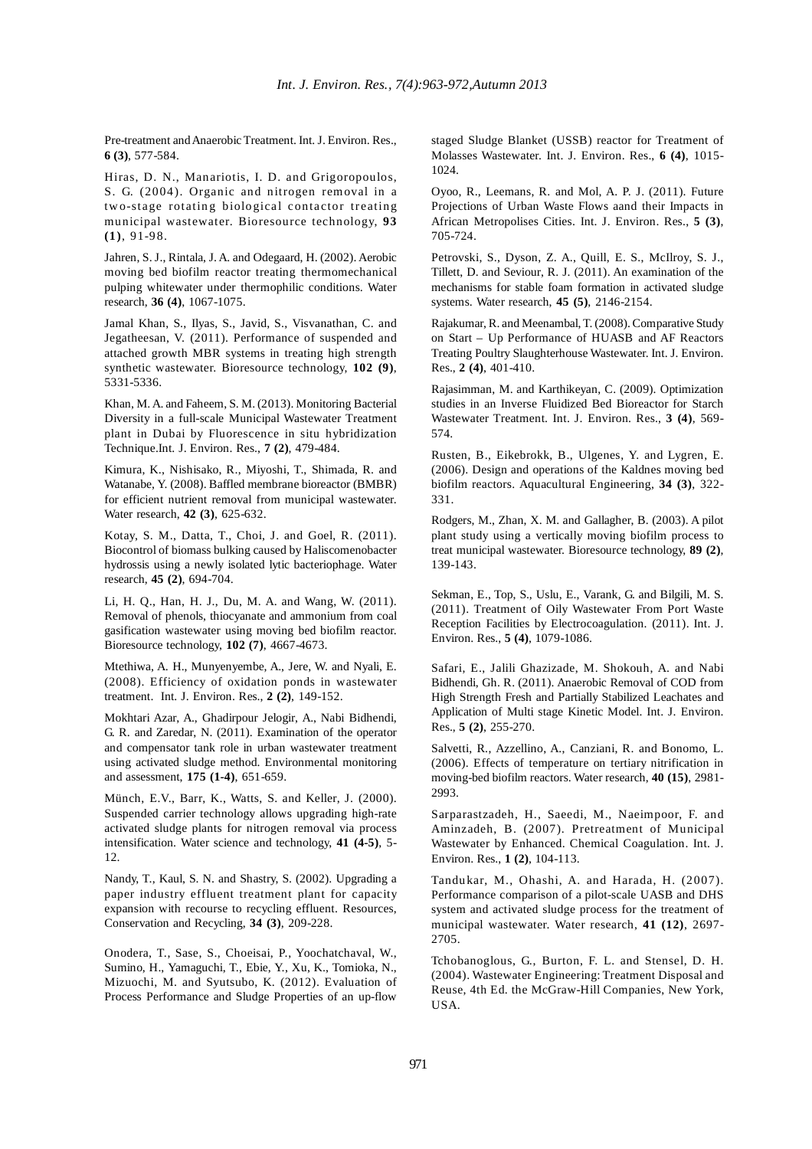Pre-treatment and Anaerobic Treatment. Int. J. Environ. Res., **6 (3)**, 577-584.

Hiras, D. N., Manariotis, I. D. and Grigoropoulos, S. G. (2004). Organic and nitrogen removal in a two-stage rotating biological contactor treating municipal wastewater. Bioresource technology, **93 (1)**, 91-98.

Jahren, S. J., Rintala, J. A. and Odegaard, H. (2002). Aerobic moving bed biofilm reactor treating thermomechanical pulping whitewater under thermophilic conditions. Water research, **36 (4)**, 1067-1075.

Jamal Khan, S., Ilyas, S., Javid, S., Visvanathan, C. and Jegatheesan, V. (2011). Performance of suspended and attached growth MBR systems in treating high strength synthetic wastewater. Bioresource technology, **102 (9)**, 5331-5336.

Khan, M. A. and Faheem, S. M. (2013). Monitoring Bacterial Diversity in a full-scale Municipal Wastewater Treatment plant in Dubai by Fluorescence in situ hybridization Technique.Int. J. Environ. Res., **7 (2)**, 479-484.

Kimura, K., Nishisako, R., Miyoshi, T., Shimada, R. and Watanabe, Y. (2008). Baffled membrane bioreactor (BMBR) for efficient nutrient removal from municipal wastewater. Water research, **42 (3)**, 625-632.

Kotay, S. M., Datta, T., Choi, J. and Goel, R. (2011). Biocontrol of biomass bulking caused by Haliscomenobacter hydrossis using a newly isolated lytic bacteriophage. Water research, **45 (2)**, 694-704.

Li, H. Q., Han, H. J., Du, M. A. and Wang, W. (2011). Removal of phenols, thiocyanate and ammonium from coal gasification wastewater using moving bed biofilm reactor. Bioresource technology, **102 (7)**, 4667-4673.

Mtethiwa, A. H., Munyenyembe, A., Jere, W. and Nyali, E. (2008). Efficiency of oxidation ponds in wastewater treatment. Int. J. Environ. Res., **2 (2)**, 149-152.

Mokhtari Azar, A., Ghadirpour Jelogir, A., Nabi Bidhendi, G. R. and Zaredar, N. (2011). Examination of the operator and compensator tank role in urban wastewater treatment using activated sludge method. Environmental monitoring and assessment, **175 (1-4)**, 651-659.

Münch, E.V., Barr, K., Watts, S. and Keller, J. (2000). Suspended carrier technology allows upgrading high-rate activated sludge plants for nitrogen removal via process intensification. Water science and technology, **41 (4-5)**, 5- 12.

Nandy, T., Kaul, S. N. and Shastry, S. (2002). Upgrading a paper industry effluent treatment plant for capacity expansion with recourse to recycling effluent. Resources, Conservation and Recycling, **34 (3)**, 209-228.

Onodera, T., Sase, S., Choeisai, P., Yoochatchaval, W., Sumino, H., Yamaguchi, T., Ebie, Y., Xu, K., Tomioka, N., Mizuochi, M. and Syutsubo, K. (2012). Evaluation of Process Performance and Sludge Properties of an up-flow staged Sludge Blanket (USSB) reactor for Treatment of Molasses Wastewater. Int. J. Environ. Res., **6 (4)**, 1015- 1024.

Oyoo, R., Leemans, R. and Mol, A. P. J. (2011). Future Projections of Urban Waste Flows aand their Impacts in African Metropolises Cities. Int. J. Environ. Res., **5 (3)**, 705-724.

Petrovski, S., Dyson, Z. A., Quill, E. S., McIlroy, S. J., Tillett, D. and Seviour, R. J. (2011). An examination of the mechanisms for stable foam formation in activated sludge systems. Water research, **45 (5)**, 2146-2154.

Rajakumar, R. and Meenambal, T. (2008). Comparative Study on Start – Up Performance of HUASB and AF Reactors Treating Poultry Slaughterhouse Wastewater. Int. J. Environ. Res., **2 (4)**, 401-410.

Rajasimman, M. and Karthikeyan, C. (2009). Optimization studies in an Inverse Fluidized Bed Bioreactor for Starch Wastewater Treatment. Int. J. Environ. Res., **3 (4)**, 569- 574.

Rusten, B., Eikebrokk, B., Ulgenes, Y. and Lygren, E. (2006). Design and operations of the Kaldnes moving bed biofilm reactors. Aquacultural Engineering, **34 (3)**, 322- 331.

Rodgers, M., Zhan, X. M. and Gallagher, B. (2003). A pilot plant study using a vertically moving biofilm process to treat municipal wastewater. Bioresource technology, **89 (2)**, 139-143.

Sekman, E., Top, S., Uslu, E., Varank, G. and Bilgili, M. S. (2011). Treatment of Oily Wastewater From Port Waste Reception Facilities by Electrocoagulation. (2011). Int. J. Environ. Res., **5 (4)**, 1079-1086.

Safari, E., Jalili Ghazizade, M. Shokouh, A. and Nabi Bidhendi, Gh. R. (2011). Anaerobic Removal of COD from High Strength Fresh and Partially Stabilized Leachates and Application of Multi stage Kinetic Model. Int. J. Environ. Res., **5 (2)**, 255-270.

Salvetti, R., Azzellino, A., Canziani, R. and Bonomo, L. (2006). Effects of temperature on tertiary nitrification in moving-bed biofilm reactors. Water research, **40 (15)**, 2981- 2993.

Sarparastzadeh, H., Saeedi, M., Naeimpoor, F. and Aminzadeh, B. (2007). Pretreatment of Municipal Wastewater by Enhanced. Chemical Coagulation. Int. J. Environ. Res., **1 (2)**, 104-113.

Tandukar, M., Ohashi, A. and Harada, H. (2007). Performance comparison of a pilot-scale UASB and DHS system and activated sludge process for the treatment of municipal wastewater. Water research, **41 (12)**, 2697- 2705.

Tchobanoglous, G., Burton, F. L. and Stensel, D. H. (2004). Wastewater Engineering: Treatment Disposal and Reuse, 4th Ed. the McGraw-Hill Companies, New York, USA.